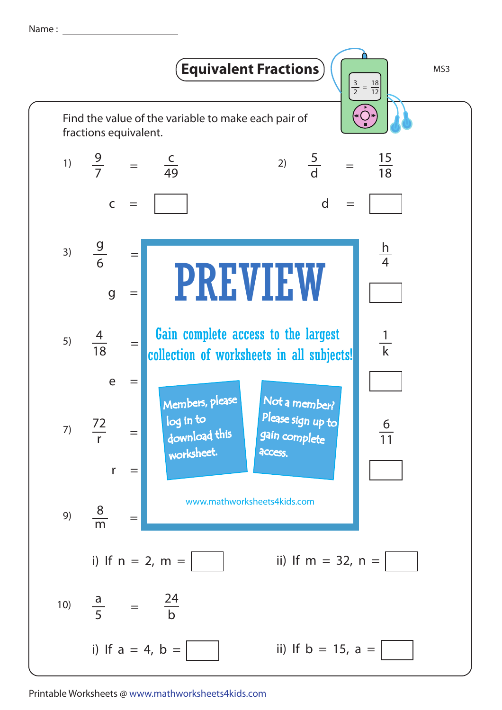Name :